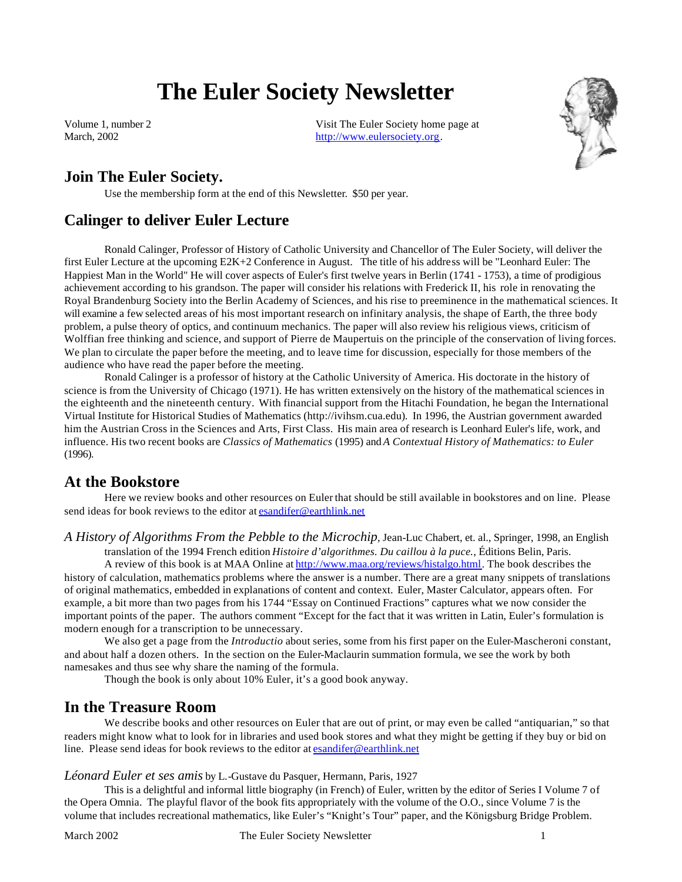# **The Euler Society Newsletter**

Volume 1, number 2 March, 2002

Visit The Euler Society home page at http://www.eulersociety.org.



# **Join The Euler Society.**

Use the membership form at the end of this Newsletter. \$50 per year.

# **Calinger to deliver Euler Lecture**

Ronald Calinger, Professor of History of Catholic University and Chancellor of The Euler Society, will deliver the first Euler Lecture at the upcoming E2K+2 Conference in August. The title of his address will be "Leonhard Euler: The Happiest Man in the World" He will cover aspects of Euler's first twelve years in Berlin (1741 - 1753), a time of prodigious achievement according to his grandson. The paper will consider his relations with Frederick II, his role in renovating the Royal Brandenburg Society into the Berlin Academy of Sciences, and his rise to preeminence in the mathematical sciences. It will examine a few selected areas of his most important research on infinitary analysis, the shape of Earth, the three body problem, a pulse theory of optics, and continuum mechanics. The paper will also review his religious views, criticism of Wolffian free thinking and science, and support of Pierre de Maupertuis on the principle of the conservation of living forces. We plan to circulate the paper before the meeting, and to leave time for discussion, especially for those members of the audience who have read the paper before the meeting.

Ronald Calinger is a professor of history at the Catholic University of America. His doctorate in the history of science is from the University of Chicago (1971). He has written extensively on the history of the mathematical sciences in the eighteenth and the nineteenth century. With financial support from the Hitachi Foundation, he began the International Virtual Institute for Historical Studies of Mathematics (http://ivihsm.cua.edu). In 1996, the Austrian government awarded him the Austrian Cross in the Sciences and Arts, First Class. His main area of research is Leonhard Euler's life, work, and influence. His two recent books are *Classics of Mathematics* (1995) and *A Contextual History of Mathematics: to Euler*  (1996).

# **At the Bookstore**

Here we review books and other resources on Euler that should be still available in bookstores and on line. Please send ideas for book reviews to the editor at esandifer@earthlink.net

*A History of Algorithms From the Pebble to the Microchip*, Jean-Luc Chabert, et. al., Springer, 1998, an English translation of the 1994 French edition *Histoire d'algorithmes. Du caillou à la puce.*, Éditions Belin, Paris.

A review of this book is at MAA Online at http://www.maa.org/reviews/histalgo.html. The book describes the history of calculation, mathematics problems where the answer is a number. There are a great many snippets of translations of original mathematics, embedded in explanations of content and context. Euler, Master Calculator, appears often. For example, a bit more than two pages from his 1744 "Essay on Continued Fractions" captures what we now consider the important points of the paper. The authors comment "Except for the fact that it was written in Latin, Euler's formulation is modern enough for a transcription to be unnecessary.

We also get a page from the *Introductio* about series, some from his first paper on the Euler-Mascheroni constant, and about half a dozen others. In the section on the Euler-Maclaurin summation formula, we see the work by both namesakes and thus see why share the naming of the formula.

Though the book is only about 10% Euler, it's a good book anyway.

### **In the Treasure Room**

We describe books and other resources on Euler that are out of print, or may even be called "antiquarian," so that readers might know what to look for in libraries and used book stores and what they might be getting if they buy or bid on line. Please send ideas for book reviews to the editor at esandifer@earthlink.net

#### *Léonard Euler et ses amis* by L.-Gustave du Pasquer, Hermann, Paris, 1927

This is a delightful and informal little biography (in French) of Euler, written by the editor of Series I Volume 7 of the Opera Omnia. The playful flavor of the book fits appropriately with the volume of the O.O., since Volume 7 is the volume that includes recreational mathematics, like Euler's "Knight's Tour" paper, and the Königsburg Bridge Problem.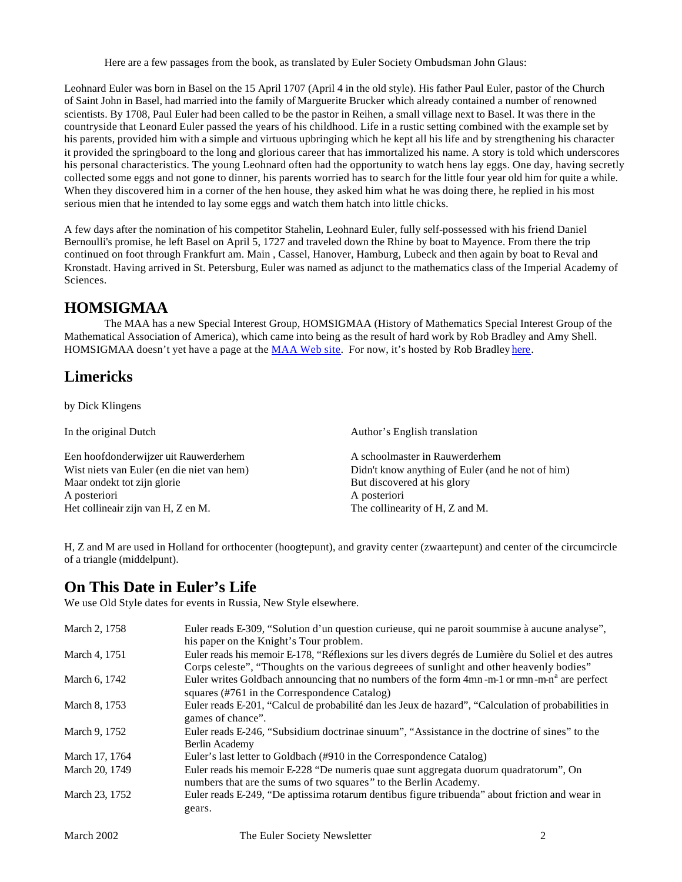Here are a few passages from the book, as translated by Euler Society Ombudsman John Glaus:

Leohnard Euler was born in Basel on the 15 April 1707 (April 4 in the old style). His father Paul Euler, pastor of the Church of Saint John in Basel, had married into the family of Marguerite Brucker which already contained a number of renowned scientists. By 1708, Paul Euler had been called to be the pastor in Reihen, a small village next to Basel. It was there in the countryside that Leonard Euler passed the years of his childhood. Life in a rustic setting combined with the example set by his parents, provided him with a simple and virtuous upbringing which he kept all his life and by strengthening his character it provided the springboard to the long and glorious career that has immortalized his name. A story is told which underscores his personal characteristics. The young Leohnard often had the opportunity to watch hens lay eggs. One day, having secretly collected some eggs and not gone to dinner, his parents worried has to search for the little four year old him for quite a while. When they discovered him in a corner of the hen house, they asked him what he was doing there, he replied in his most serious mien that he intended to lay some eggs and watch them hatch into little chicks.

A few days after the nomination of his competitor Stahelin, Leohnard Euler, fully self-possessed with his friend Daniel Bernoulli's promise, he left Basel on April 5, 1727 and traveled down the Rhine by boat to Mayence. From there the trip continued on foot through Frankfurt am. Main , Cassel, Hanover, Hamburg, Lubeck and then again by boat to Reval and Kronstadt. Having arrived in St. Petersburg, Euler was named as adjunct to the mathematics class of the Imperial Academy of Sciences.

# **HOMSIGMAA**

The MAA has a new Special Interest Group, HOMSIGMAA (History of Mathematics Special Interest Group of the Mathematical Association of America), which came into being as the result of hard work by Rob Bradley and Amy Shell. HOMSIGMAA doesn't yet have a page at the MAA Web site. For now, it's hosted by Rob Bradley here.

# **Limericks**

by Dick Klingens

In the original Dutch Author's English translation Een hoofdonderwijzer uit Rauwerderhem Wist niets van Euler (en die niet van hem) Maar ondekt tot zijn glorie A posteriori Het collineair zijn van H, Z en M. A schoolmaster in Rauwerderhem Didn't know anything of Euler (and he not of him) But discovered at his glory A posteriori The collinearity of H, Z and M.

H, Z and M are used in Holland for orthocenter (hoogtepunt), and gravity center (zwaartepunt) and center of the circumcircle of a triangle (middelpunt).

# **On This Date in Euler's Life**

We use Old Style dates for events in Russia, New Style elsewhere.

| March 2, 1758  | Euler reads E-309, "Solution d'un question curieuse, qui ne paroit soummise à aucune analyse",                                                                                                 |  |
|----------------|------------------------------------------------------------------------------------------------------------------------------------------------------------------------------------------------|--|
|                | his paper on the Knight's Tour problem.                                                                                                                                                        |  |
| March 4, 1751  | Euler reads his memoir E-178, "Réflexions sur les divers degrés de Lumière du Soliel et des autres<br>Corps celeste", "Thoughts on the various degreees of sunlight and other heavenly bodies" |  |
| March 6, 1742  | Euler writes Goldbach announcing that no numbers of the form 4mn-m-1 or mm-m-n <sup>a</sup> are perfect<br>squares (#761 in the Correspondence Catalog)                                        |  |
|                |                                                                                                                                                                                                |  |
| March 8, 1753  | Euler reads E-201, "Calcul de probabilité dan les Jeux de hazard", "Calculation of probabilities in<br>games of chance".                                                                       |  |
| March 9, 1752  | Euler reads E-246, "Subsidium doctrinae sinuum", "Assistance in the doctrine of sines" to the<br>Berlin Academy                                                                                |  |
|                |                                                                                                                                                                                                |  |
| March 17, 1764 | Euler's last letter to Goldbach (#910 in the Correspondence Catalog)                                                                                                                           |  |
| March 20, 1749 | Euler reads his memoir E-228 "De numeris quae sunt aggregata duorum quadratorum", On<br>numbers that are the sums of two squares" to the Berlin Academy.                                       |  |
| March 23, 1752 | Euler reads E-249, "De aptissima rotarum dentibus figure tribuenda" about friction and wear in<br>gears.                                                                                       |  |
|                |                                                                                                                                                                                                |  |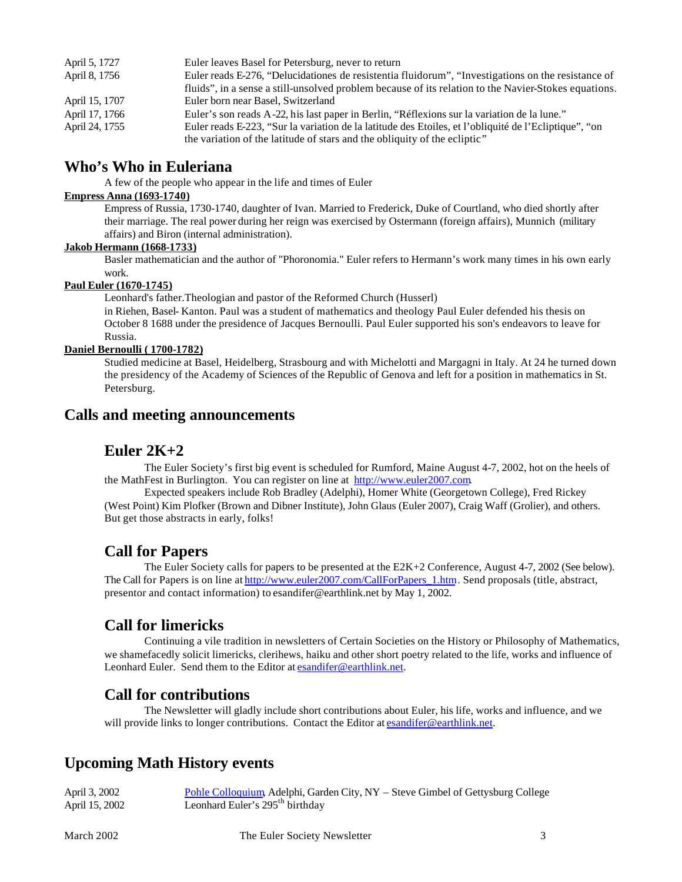| April 5, 1727  | Euler leaves Basel for Petersburg, never to return                                                    |
|----------------|-------------------------------------------------------------------------------------------------------|
| April 8, 1756  | Euler reads E-276, "Delucidationes de resistentia fluidorum", "Investigations on the resistance of    |
|                | fluids", in a sense a still-unsolved problem because of its relation to the Navier-Stokes equations.  |
| April 15, 1707 | Euler born near Basel, Switzerland                                                                    |
| April 17, 1766 | Euler's son reads A-22, his last paper in Berlin, "Réflexions sur la variation de la lune."           |
| April 24, 1755 | Euler reads E-223, "Sur la variation de la latitude des Etoiles, et l'obliquité de l'Ecliptique", "on |
|                | the variation of the latitude of stars and the obliquity of the ecliptic"                             |

## **Who's Who in Euleriana**

A few of the people who appear in the life and times of Euler

### **Empress Anna (1693-1740)**

Empress of Russia, 1730-1740, daughter of Ivan. Married to Frederick, Duke of Courtland, who died shortly after their marriage. The real power during her reign was exercised by Ostermann (foreign affairs), Munnich (military affairs) and Biron (internal administration).

#### **Jakob Hermann (1668-1733)**

Basler mathematician and the author of "Phoronomia." Euler refers to Hermann's work many times in his own early work.

#### **Paul Euler (1670-1745)**

Leonhard's father.Theologian and pastor of the Reformed Church (Husserl)

in Riehen, Basel- Kanton. Paul was a student of mathematics and theology Paul Euler defended his thesis on October 8 1688 under the presidence of Jacques Bernoulli. Paul Euler supported his son's endeavors to leave for Russia.

#### **Daniel Bernoulli ( 1700-1782)**

Studied medicine at Basel, Heidelberg, Strasbourg and with Michelotti and Margagni in Italy. At 24 he turned down the presidency of the Academy of Sciences of the Republic of Genova and left for a position in mathematics in St. Petersburg.

### **Calls and meeting announcements**

### **Euler 2K+2**

The Euler Society's first big event is scheduled for Rumford, Maine August 4-7, 2002, hot on the heels of the MathFest in Burlington. You can register on line at http://www.euler2007.com.

Expected speakers include Rob Bradley (Adelphi), Homer White (Georgetown College), Fred Rickey (West Point) Kim Plofker (Brown and Dibner Institute), John Glaus (Euler 2007), Craig Waff (Grolier), and others. But get those abstracts in early, folks!

### **Call for Papers**

The Euler Society calls for papers to be presented at the E2K+2 Conference, August 4-7, 2002 (See below). The Call for Papers is on line at http://www.euler2007.com/CallForPapers\_1.htm . Send proposals (title, abstract, presentor and contact information) to esandifer@earthlink.net by May 1, 2002.

### **Call for limericks**

Continuing a vile tradition in newsletters of Certain Societies on the History or Philosophy of Mathematics, we shamefacedly solicit limericks, clerihews, haiku and other short poetry related to the life, works and influence of Leonhard Euler. Send them to the Editor at esandifer@earthlink.net.

### **Call for contributions**

The Newsletter will gladly include short contributions about Euler, his life, works and influence, and we will provide links to longer contributions. Contact the Editor at esandifer@earthlink.net.

### **Upcoming Math History events**

| April 3, 2002  | Pohle Colloquium, Adelphi, Garden City, NY - Steve Gimbel of Gettysburg College |
|----------------|---------------------------------------------------------------------------------|
| April 15, 2002 | Leonhard Euler's 295 <sup>th</sup> birthday                                     |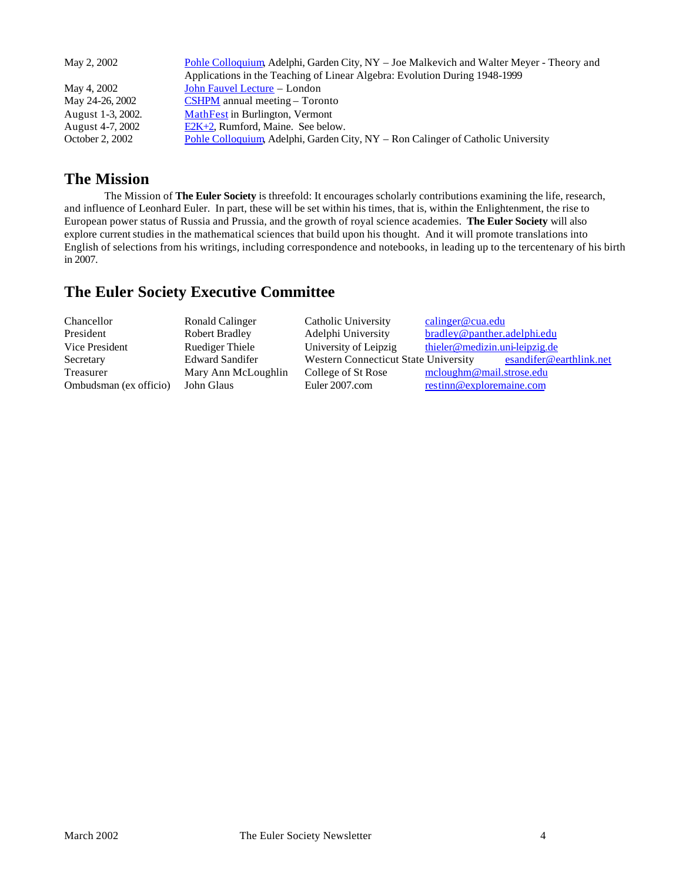| May 2, 2002       | <u>Pohle Colloquium, Adelphi, Garden City, NY – Joe Malkevich and Walter Meyer - Theory and</u> |
|-------------------|-------------------------------------------------------------------------------------------------|
|                   | Applications in the Teaching of Linear Algebra: Evolution During 1948-1999                      |
| May 4, 2002       | John Fauvel Lecture – London                                                                    |
| May 24-26, 2002   | $\overline{\text{CSHPM}}$ annual meeting – Toronto                                              |
| August 1-3, 2002. | <b>MathFest</b> in Burlington, Vermont                                                          |
| August 4-7, 2002  | $E2K+2$ , Rumford, Maine. See below.                                                            |
| October 2, 2002   | Pohle Colloquium, Adelphi, Garden City, NY – Ron Calinger of Catholic University                |

# **The Mission**

The Mission of **The Euler Society** is threefold: It encourages scholarly contributions examining the life, research, and influence of Leonhard Euler. In part, these will be set within his times, that is, within the Enlightenment, the rise to European power status of Russia and Prussia, and the growth of royal science academies. **The Euler Society** will also explore current studies in the mathematical sciences that build upon his thought. And it will promote translations into English of selections from his writings, including correspondence and notebooks, in leading up to the tercentenary of his birth in 2007.

# **The Euler Society Executive Committee**

| Chancellor<br>Ronald Calinger            | Catholic University                  | calinger@cua.edu               |
|------------------------------------------|--------------------------------------|--------------------------------|
| <b>Robert Bradley</b><br>President       | Adelphi University                   | bradley@panther.adelphi.edu    |
| <b>Ruediger Thiele</b><br>Vice President | University of Leipzig                | thieler@medizin.uni-leipzig.de |
| <b>Edward Sandifer</b><br>Secretary      | Western Connecticut State University | esandifer@earthlink.net        |
| Treasurer<br>Mary Ann McLoughlin         | College of St Rose                   | mcloughm@mail.strose.edu       |
| Ombudsman (ex officio)<br>John Glaus     | Euler 2007.com                       | restinn@exploremaine.com       |
|                                          |                                      |                                |